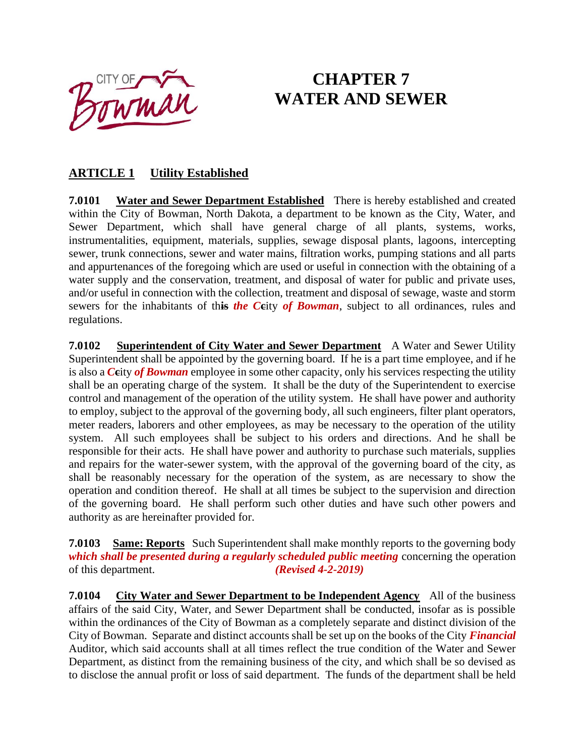OUTY OF THE

# **CHAPTER 7 WATER AND SEWER**

## **ARTICLE 1 Utility Established**

**7.0101 Water and Sewer Department Established** There is hereby established and created within the City of Bowman, North Dakota, a department to be known as the City, Water, and Sewer Department, which shall have general charge of all plants, systems, works, instrumentalities, equipment, materials, supplies, sewage disposal plants, lagoons, intercepting sewer, trunk connections, sewer and water mains, filtration works, pumping stations and all parts and appurtenances of the foregoing which are used or useful in connection with the obtaining of a water supply and the conservation, treatment, and disposal of water for public and private uses, and/or useful in connection with the collection, treatment and disposal of sewage, waste and storm sewers for the inhabitants of th**is** *the C***c**ity *of Bowman*, subject to all ordinances, rules and regulations.

**7.0102** Superintendent of City Water and Sewer Department A Water and Sewer Utility Superintendent shall be appointed by the governing board. If he is a part time employee, and if he is also a *C***c**ity *of Bowman* employee in some other capacity, only his services respecting the utility shall be an operating charge of the system. It shall be the duty of the Superintendent to exercise control and management of the operation of the utility system. He shall have power and authority to employ, subject to the approval of the governing body, all such engineers, filter plant operators, meter readers, laborers and other employees, as may be necessary to the operation of the utility system. All such employees shall be subject to his orders and directions. And he shall be responsible for their acts. He shall have power and authority to purchase such materials, supplies and repairs for the water-sewer system, with the approval of the governing board of the city, as shall be reasonably necessary for the operation of the system, as are necessary to show the operation and condition thereof. He shall at all times be subject to the supervision and direction of the governing board. He shall perform such other duties and have such other powers and authority as are hereinafter provided for.

**7.0103 Same: Reports** Such Superintendent shall make monthly reports to the governing body *which shall be presented during a regularly scheduled public meeting* concerning the operation of this department. *(Revised 4-2-2019)*

**7.0104 City Water and Sewer Department to be Independent Agency** All of the business affairs of the said City, Water, and Sewer Department shall be conducted, insofar as is possible within the ordinances of the City of Bowman as a completely separate and distinct division of the City of Bowman. Separate and distinct accounts shall be set up on the books of the City *Financial* Auditor, which said accounts shall at all times reflect the true condition of the Water and Sewer Department, as distinct from the remaining business of the city, and which shall be so devised as to disclose the annual profit or loss of said department. The funds of the department shall be held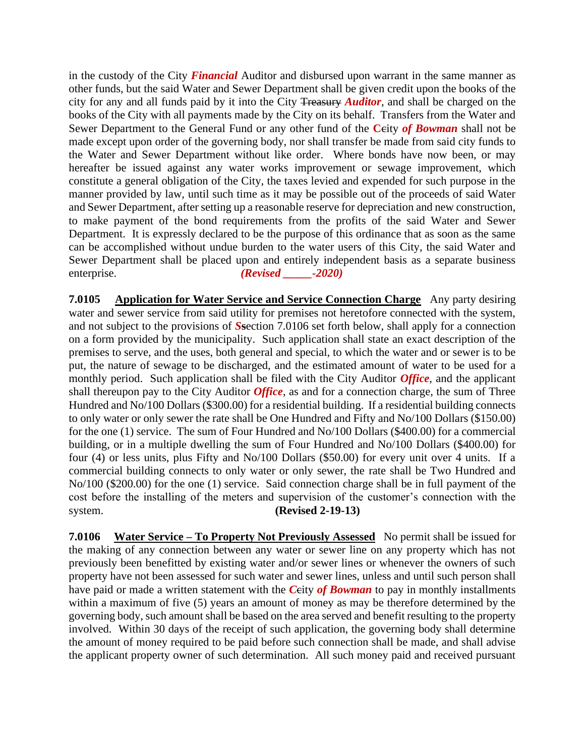in the custody of the City *Financial* Auditor and disbursed upon warrant in the same manner as other funds, but the said Water and Sewer Department shall be given credit upon the books of the city for any and all funds paid by it into the City Treasury *Auditor*, and shall be charged on the books of the City with all payments made by the City on its behalf. Transfers from the Water and Sewer Department to the General Fund or any other fund of the **C**city *of Bowman* shall not be made except upon order of the governing body, nor shall transfer be made from said city funds to the Water and Sewer Department without like order. Where bonds have now been, or may hereafter be issued against any water works improvement or sewage improvement, which constitute a general obligation of the City, the taxes levied and expended for such purpose in the manner provided by law, until such time as it may be possible out of the proceeds of said Water and Sewer Department, after setting up a reasonable reserve for depreciation and new construction, to make payment of the bond requirements from the profits of the said Water and Sewer Department. It is expressly declared to be the purpose of this ordinance that as soon as the same can be accomplished without undue burden to the water users of this City, the said Water and Sewer Department shall be placed upon and entirely independent basis as a separate business enterprise. *(Revised -2020)* 

**7.0105 Application for Water Service and Service Connection Charge** Any party desiring water and sewer service from said utility for premises not heretofore connected with the system, and not subject to the provisions of *S***s**ection 7.0106 set forth below, shall apply for a connection on a form provided by the municipality. Such application shall state an exact description of the premises to serve, and the uses, both general and special, to which the water and or sewer is to be put, the nature of sewage to be discharged, and the estimated amount of water to be used for a monthly period. Such application shall be filed with the City Auditor *Office*, and the applicant shall thereupon pay to the City Auditor *Office*, as and for a connection charge, the sum of Three Hundred and No/100 Dollars (\$300.00) for a residential building. If a residential building connects to only water or only sewer the rate shall be One Hundred and Fifty and No/100 Dollars (\$150.00) for the one (1) service. The sum of Four Hundred and No/100 Dollars (\$400.00) for a commercial building, or in a multiple dwelling the sum of Four Hundred and No/100 Dollars (\$400.00) for four (4) or less units, plus Fifty and No/100 Dollars (\$50.00) for every unit over 4 units. If a commercial building connects to only water or only sewer, the rate shall be Two Hundred and No/100 (\$200.00) for the one (1) service. Said connection charge shall be in full payment of the cost before the installing of the meters and supervision of the customer's connection with the system. **(Revised 2-19-13)**

**7.0106 Water Service – To Property Not Previously Assessed** No permit shall be issued for the making of any connection between any water or sewer line on any property which has not previously been benefitted by existing water and/or sewer lines or whenever the owners of such property have not been assessed for such water and sewer lines, unless and until such person shall have paid or made a written statement with the *Ceity of Bowman* to pay in monthly installments within a maximum of five (5) years an amount of money as may be therefore determined by the governing body, such amount shall be based on the area served and benefit resulting to the property involved. Within 30 days of the receipt of such application, the governing body shall determine the amount of money required to be paid before such connection shall be made, and shall advise the applicant property owner of such determination. All such money paid and received pursuant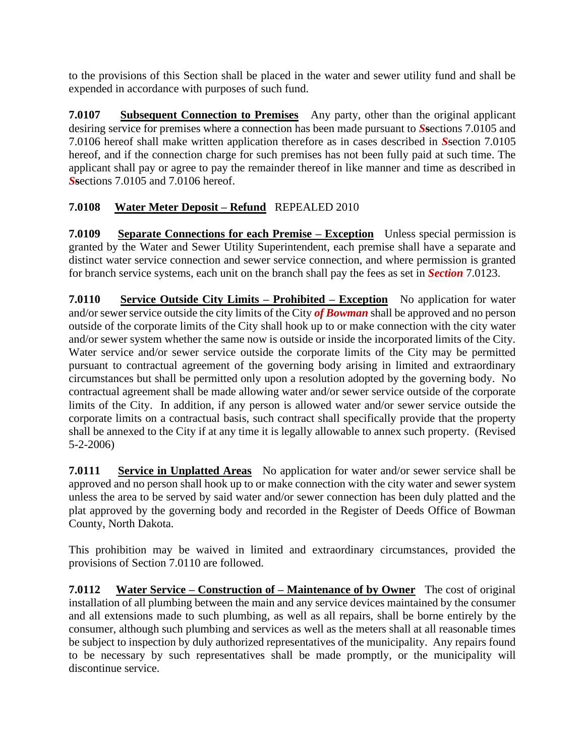to the provisions of this Section shall be placed in the water and sewer utility fund and shall be expended in accordance with purposes of such fund.

**7.0107 Subsequent Connection to Premises** Any party, other than the original applicant desiring service for premises where a connection has been made pursuant to *S***s**ections 7.0105 and 7.0106 hereof shall make written application therefore as in cases described in *S*section 7.0105 hereof, and if the connection charge for such premises has not been fully paid at such time. The applicant shall pay or agree to pay the remainder thereof in like manner and time as described in *S***s**ections 7.0105 and 7.0106 hereof.

## **7.0108 Water Meter Deposit – Refund** REPEALED 2010

**7.0109 Separate Connections for each Premise – Exception** Unless special permission is granted by the Water and Sewer Utility Superintendent, each premise shall have a separate and distinct water service connection and sewer service connection, and where permission is granted for branch service systems, each unit on the branch shall pay the fees as set in *Section* 7.0123.

**7.0110 Service Outside City Limits – Prohibited – Exception** No application for water and/or sewer service outside the city limits of the City *of Bowman* shall be approved and no person outside of the corporate limits of the City shall hook up to or make connection with the city water and/or sewer system whether the same now is outside or inside the incorporated limits of the City. Water service and/or sewer service outside the corporate limits of the City may be permitted pursuant to contractual agreement of the governing body arising in limited and extraordinary circumstances but shall be permitted only upon a resolution adopted by the governing body. No contractual agreement shall be made allowing water and/or sewer service outside of the corporate limits of the City. In addition, if any person is allowed water and/or sewer service outside the corporate limits on a contractual basis, such contract shall specifically provide that the property shall be annexed to the City if at any time it is legally allowable to annex such property. (Revised 5-2-2006)

**7.0111 Service in Unplatted Areas** No application for water and/or sewer service shall be approved and no person shall hook up to or make connection with the city water and sewer system unless the area to be served by said water and/or sewer connection has been duly platted and the plat approved by the governing body and recorded in the Register of Deeds Office of Bowman County, North Dakota.

This prohibition may be waived in limited and extraordinary circumstances, provided the provisions of Section 7.0110 are followed.

**7.0112 Water Service – Construction of – Maintenance of by Owner** The cost of original installation of all plumbing between the main and any service devices maintained by the consumer and all extensions made to such plumbing, as well as all repairs, shall be borne entirely by the consumer, although such plumbing and services as well as the meters shall at all reasonable times be subject to inspection by duly authorized representatives of the municipality. Any repairs found to be necessary by such representatives shall be made promptly, or the municipality will discontinue service.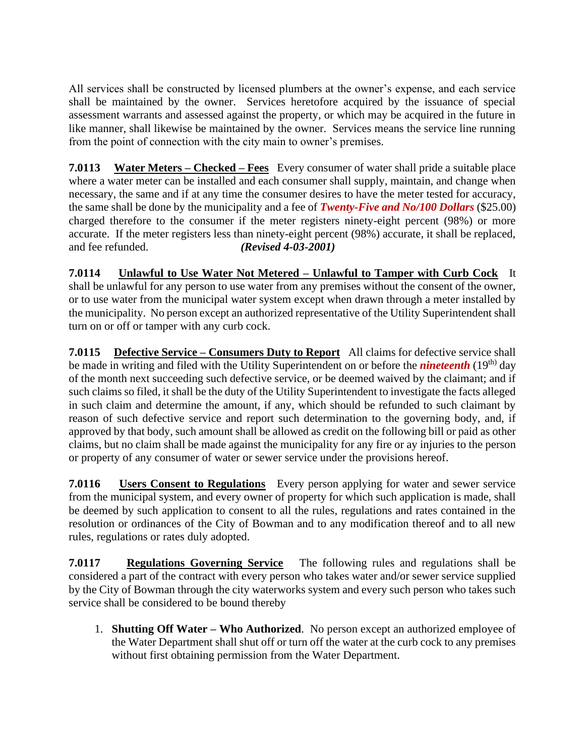All services shall be constructed by licensed plumbers at the owner's expense, and each service shall be maintained by the owner. Services heretofore acquired by the issuance of special assessment warrants and assessed against the property, or which may be acquired in the future in like manner, shall likewise be maintained by the owner. Services means the service line running from the point of connection with the city main to owner's premises.

**7.0113 Water Meters – Checked – Fees** Every consumer of water shall pride a suitable place where a water meter can be installed and each consumer shall supply, maintain, and change when necessary, the same and if at any time the consumer desires to have the meter tested for accuracy, the same shall be done by the municipality and a fee of *Twenty-Five and No/100 Dollars* (\$25.00) charged therefore to the consumer if the meter registers ninety-eight percent (98%) or more accurate. If the meter registers less than ninety-eight percent (98%) accurate, it shall be replaced, and fee refunded. *(Revised 4-03-2001)*

**7.0114 Unlawful to Use Water Not Metered – Unlawful to Tamper with Curb Cock** It shall be unlawful for any person to use water from any premises without the consent of the owner, or to use water from the municipal water system except when drawn through a meter installed by the municipality. No person except an authorized representative of the Utility Superintendent shall turn on or off or tamper with any curb cock.

**7.0115 Defective Service – Consumers Duty to Report** All claims for defective service shall be made in writing and filed with the Utility Superintendent on or before the *nineteenth* (19<sup>th)</sup> day of the month next succeeding such defective service, or be deemed waived by the claimant; and if such claims so filed, it shall be the duty of the Utility Superintendent to investigate the facts alleged in such claim and determine the amount, if any, which should be refunded to such claimant by reason of such defective service and report such determination to the governing body, and, if approved by that body, such amount shall be allowed as credit on the following bill or paid as other claims, but no claim shall be made against the municipality for any fire or ay injuries to the person or property of any consumer of water or sewer service under the provisions hereof.

**7.0116 Users Consent to Regulations** Every person applying for water and sewer service from the municipal system, and every owner of property for which such application is made, shall be deemed by such application to consent to all the rules, regulations and rates contained in the resolution or ordinances of the City of Bowman and to any modification thereof and to all new rules, regulations or rates duly adopted.

**7.0117 Regulations Governing Service** The following rules and regulations shall be considered a part of the contract with every person who takes water and/or sewer service supplied by the City of Bowman through the city waterworks system and every such person who takes such service shall be considered to be bound thereby

1. **Shutting Off Water – Who Authorized**. No person except an authorized employee of the Water Department shall shut off or turn off the water at the curb cock to any premises without first obtaining permission from the Water Department.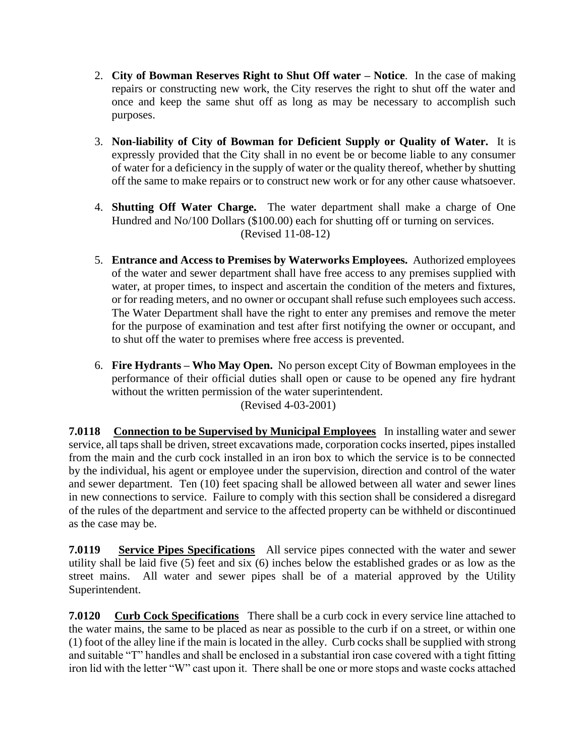- 2. **City of Bowman Reserves Right to Shut Off water – Notice**. In the case of making repairs or constructing new work, the City reserves the right to shut off the water and once and keep the same shut off as long as may be necessary to accomplish such purposes.
- 3. **Non-liability of City of Bowman for Deficient Supply or Quality of Water.** It is expressly provided that the City shall in no event be or become liable to any consumer of water for a deficiency in the supply of water or the quality thereof, whether by shutting off the same to make repairs or to construct new work or for any other cause whatsoever.
- 4. **Shutting Off Water Charge.** The water department shall make a charge of One Hundred and No/100 Dollars (\$100.00) each for shutting off or turning on services. (Revised 11-08-12)
- 5. **Entrance and Access to Premises by Waterworks Employees.** Authorized employees of the water and sewer department shall have free access to any premises supplied with water, at proper times, to inspect and ascertain the condition of the meters and fixtures, or for reading meters, and no owner or occupant shall refuse such employees such access. The Water Department shall have the right to enter any premises and remove the meter for the purpose of examination and test after first notifying the owner or occupant, and to shut off the water to premises where free access is prevented.
- 6. **Fire Hydrants – Who May Open.** No person except City of Bowman employees in the performance of their official duties shall open or cause to be opened any fire hydrant without the written permission of the water superintendent. (Revised 4-03-2001)

**7.0118 Connection to be Supervised by Municipal Employees** In installing water and sewer service, all taps shall be driven, street excavations made, corporation cocks inserted, pipes installed from the main and the curb cock installed in an iron box to which the service is to be connected by the individual, his agent or employee under the supervision, direction and control of the water and sewer department. Ten (10) feet spacing shall be allowed between all water and sewer lines in new connections to service. Failure to comply with this section shall be considered a disregard of the rules of the department and service to the affected property can be withheld or discontinued as the case may be.

**7.0119 Service Pipes Specifications** All service pipes connected with the water and sewer utility shall be laid five (5) feet and six (6) inches below the established grades or as low as the street mains. All water and sewer pipes shall be of a material approved by the Utility Superintendent.

**7.0120 Curb Cock Specifications** There shall be a curb cock in every service line attached to the water mains, the same to be placed as near as possible to the curb if on a street, or within one (1) foot of the alley line if the main is located in the alley. Curb cocks shall be supplied with strong and suitable "T" handles and shall be enclosed in a substantial iron case covered with a tight fitting iron lid with the letter "W" cast upon it. There shall be one or more stops and waste cocks attached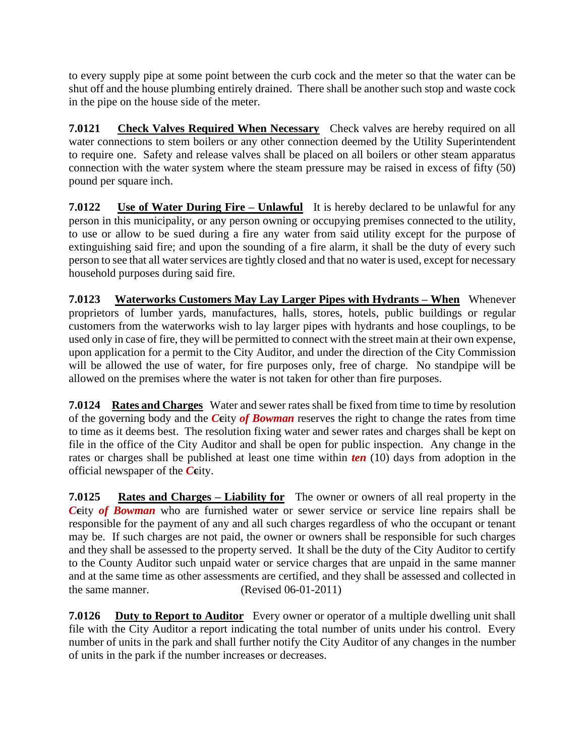to every supply pipe at some point between the curb cock and the meter so that the water can be shut off and the house plumbing entirely drained. There shall be another such stop and waste cock in the pipe on the house side of the meter.

**7.0121** Check Valves Required When Necessary Check valves are hereby required on all water connections to stem boilers or any other connection deemed by the Utility Superintendent to require one. Safety and release valves shall be placed on all boilers or other steam apparatus connection with the water system where the steam pressure may be raised in excess of fifty (50) pound per square inch.

**7.0122** Use of Water During Fire – Unlawful It is hereby declared to be unlawful for any person in this municipality, or any person owning or occupying premises connected to the utility, to use or allow to be sued during a fire any water from said utility except for the purpose of extinguishing said fire; and upon the sounding of a fire alarm, it shall be the duty of every such person to see that all water services are tightly closed and that no water is used, except for necessary household purposes during said fire.

**7.0123 Waterworks Customers May Lay Larger Pipes with Hydrants – When** Whenever proprietors of lumber yards, manufactures, halls, stores, hotels, public buildings or regular customers from the waterworks wish to lay larger pipes with hydrants and hose couplings, to be used only in case of fire, they will be permitted to connect with the street main at their own expense, upon application for a permit to the City Auditor, and under the direction of the City Commission will be allowed the use of water, for fire purposes only, free of charge. No standpipe will be allowed on the premises where the water is not taken for other than fire purposes.

**7.0124 Rates and Charges** Water and sewer rates shall be fixed from time to time by resolution of the governing body and the *C***c**ity *of Bowman* reserves the right to change the rates from time to time as it deems best. The resolution fixing water and sewer rates and charges shall be kept on file in the office of the City Auditor and shall be open for public inspection. Any change in the rates or charges shall be published at least one time within *ten* (10) days from adoption in the official newspaper of the *C***c**ity.

**7.0125 Rates and Charges – Liability for** The owner or owners of all real property in the **Ceity of Bowman** who are furnished water or sewer service or service line repairs shall be responsible for the payment of any and all such charges regardless of who the occupant or tenant may be. If such charges are not paid, the owner or owners shall be responsible for such charges and they shall be assessed to the property served. It shall be the duty of the City Auditor to certify to the County Auditor such unpaid water or service charges that are unpaid in the same manner and at the same time as other assessments are certified, and they shall be assessed and collected in the same manner. (Revised 06-01-2011)

**7.0126 Duty to Report to Auditor** Every owner or operator of a multiple dwelling unit shall file with the City Auditor a report indicating the total number of units under his control. Every number of units in the park and shall further notify the City Auditor of any changes in the number of units in the park if the number increases or decreases.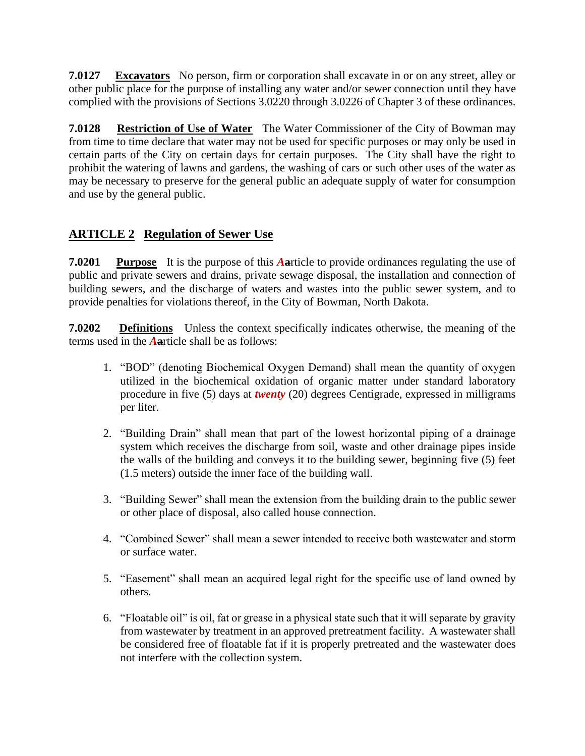**7.0127 Excavators** No person, firm or corporation shall excavate in or on any street, alley or other public place for the purpose of installing any water and/or sewer connection until they have complied with the provisions of Sections 3.0220 through 3.0226 of Chapter 3 of these ordinances.

**7.0128 Restriction of Use of Water** The Water Commissioner of the City of Bowman may from time to time declare that water may not be used for specific purposes or may only be used in certain parts of the City on certain days for certain purposes. The City shall have the right to prohibit the watering of lawns and gardens, the washing of cars or such other uses of the water as may be necessary to preserve for the general public an adequate supply of water for consumption and use by the general public.

# **ARTICLE 2 Regulation of Sewer Use**

**7.0201** Purpose It is the purpose of this **Aarticle to provide ordinances regulating the use of** public and private sewers and drains, private sewage disposal, the installation and connection of building sewers, and the discharge of waters and wastes into the public sewer system, and to provide penalties for violations thereof, in the City of Bowman, North Dakota.

**7.0202 Definitions** Unless the context specifically indicates otherwise, the meaning of the terms used in the *A***a**rticle shall be as follows:

- 1. "BOD" (denoting Biochemical Oxygen Demand) shall mean the quantity of oxygen utilized in the biochemical oxidation of organic matter under standard laboratory procedure in five (5) days at *twenty* (20) degrees Centigrade, expressed in milligrams per liter.
- 2. "Building Drain" shall mean that part of the lowest horizontal piping of a drainage system which receives the discharge from soil, waste and other drainage pipes inside the walls of the building and conveys it to the building sewer, beginning five (5) feet (1.5 meters) outside the inner face of the building wall.
- 3. "Building Sewer" shall mean the extension from the building drain to the public sewer or other place of disposal, also called house connection.
- 4. "Combined Sewer" shall mean a sewer intended to receive both wastewater and storm or surface water.
- 5. "Easement" shall mean an acquired legal right for the specific use of land owned by others.
- 6. "Floatable oil" is oil, fat or grease in a physical state such that it will separate by gravity from wastewater by treatment in an approved pretreatment facility. A wastewater shall be considered free of floatable fat if it is properly pretreated and the wastewater does not interfere with the collection system.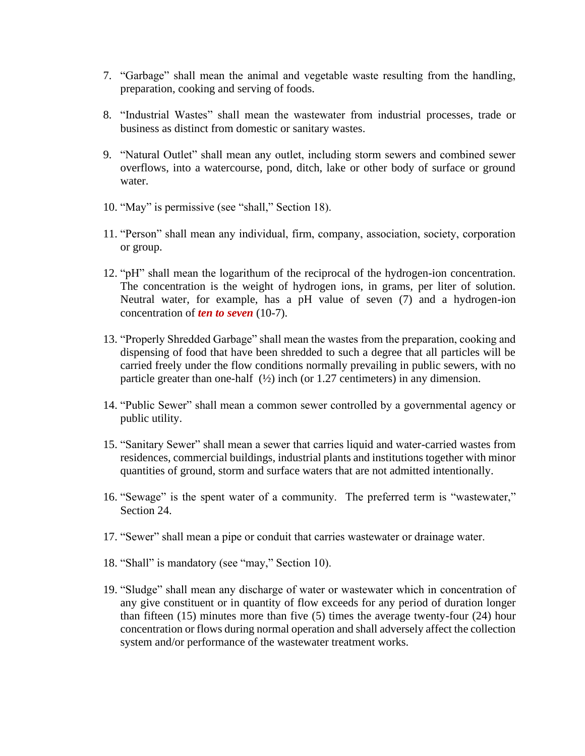- 7. "Garbage" shall mean the animal and vegetable waste resulting from the handling, preparation, cooking and serving of foods.
- 8. "Industrial Wastes" shall mean the wastewater from industrial processes, trade or business as distinct from domestic or sanitary wastes.
- 9. "Natural Outlet" shall mean any outlet, including storm sewers and combined sewer overflows, into a watercourse, pond, ditch, lake or other body of surface or ground water.
- 10. "May" is permissive (see "shall," Section 18).
- 11. "Person" shall mean any individual, firm, company, association, society, corporation or group.
- 12. "pH" shall mean the logarithum of the reciprocal of the hydrogen-ion concentration. The concentration is the weight of hydrogen ions, in grams, per liter of solution. Neutral water, for example, has a pH value of seven (7) and a hydrogen-ion concentration of *ten to seven* (10-7).
- 13. "Properly Shredded Garbage" shall mean the wastes from the preparation, cooking and dispensing of food that have been shredded to such a degree that all particles will be carried freely under the flow conditions normally prevailing in public sewers, with no particle greater than one-half  $(\frac{1}{2})$  inch (or 1.27 centimeters) in any dimension.
- 14. "Public Sewer" shall mean a common sewer controlled by a governmental agency or public utility.
- 15. "Sanitary Sewer" shall mean a sewer that carries liquid and water-carried wastes from residences, commercial buildings, industrial plants and institutions together with minor quantities of ground, storm and surface waters that are not admitted intentionally.
- 16. "Sewage" is the spent water of a community. The preferred term is "wastewater," Section 24.
- 17. "Sewer" shall mean a pipe or conduit that carries wastewater or drainage water.
- 18. "Shall" is mandatory (see "may," Section 10).
- 19. "Sludge" shall mean any discharge of water or wastewater which in concentration of any give constituent or in quantity of flow exceeds for any period of duration longer than fifteen (15) minutes more than five (5) times the average twenty-four (24) hour concentration or flows during normal operation and shall adversely affect the collection system and/or performance of the wastewater treatment works.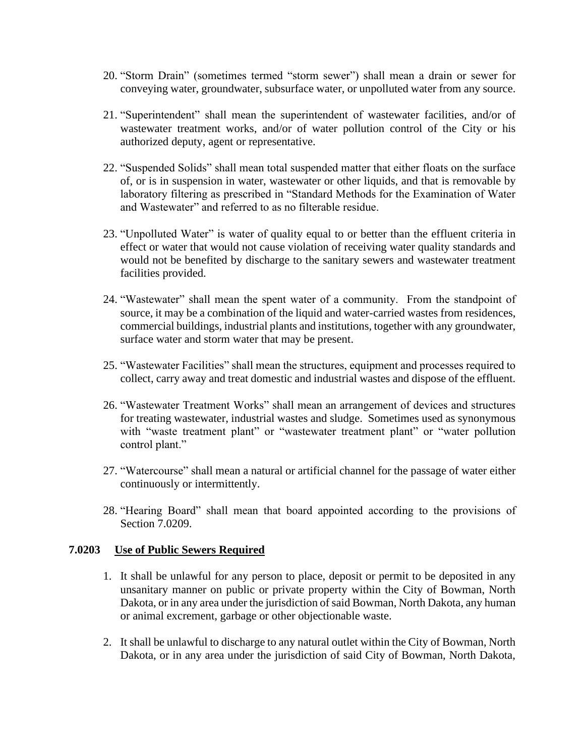- 20. "Storm Drain" (sometimes termed "storm sewer") shall mean a drain or sewer for conveying water, groundwater, subsurface water, or unpolluted water from any source.
- 21. "Superintendent" shall mean the superintendent of wastewater facilities, and/or of wastewater treatment works, and/or of water pollution control of the City or his authorized deputy, agent or representative.
- 22. "Suspended Solids" shall mean total suspended matter that either floats on the surface of, or is in suspension in water, wastewater or other liquids, and that is removable by laboratory filtering as prescribed in "Standard Methods for the Examination of Water and Wastewater" and referred to as no filterable residue.
- 23. "Unpolluted Water" is water of quality equal to or better than the effluent criteria in effect or water that would not cause violation of receiving water quality standards and would not be benefited by discharge to the sanitary sewers and wastewater treatment facilities provided.
- 24. "Wastewater" shall mean the spent water of a community. From the standpoint of source, it may be a combination of the liquid and water-carried wastes from residences, commercial buildings, industrial plants and institutions, together with any groundwater, surface water and storm water that may be present.
- 25. "Wastewater Facilities" shall mean the structures, equipment and processes required to collect, carry away and treat domestic and industrial wastes and dispose of the effluent.
- 26. "Wastewater Treatment Works" shall mean an arrangement of devices and structures for treating wastewater, industrial wastes and sludge. Sometimes used as synonymous with "waste treatment plant" or "wastewater treatment plant" or "water pollution control plant."
- 27. "Watercourse" shall mean a natural or artificial channel for the passage of water either continuously or intermittently.
- 28. "Hearing Board" shall mean that board appointed according to the provisions of Section 7.0209.

#### **7.0203 Use of Public Sewers Required**

- 1. It shall be unlawful for any person to place, deposit or permit to be deposited in any unsanitary manner on public or private property within the City of Bowman, North Dakota, or in any area under the jurisdiction of said Bowman, North Dakota, any human or animal excrement, garbage or other objectionable waste.
- 2. It shall be unlawful to discharge to any natural outlet within the City of Bowman, North Dakota, or in any area under the jurisdiction of said City of Bowman, North Dakota,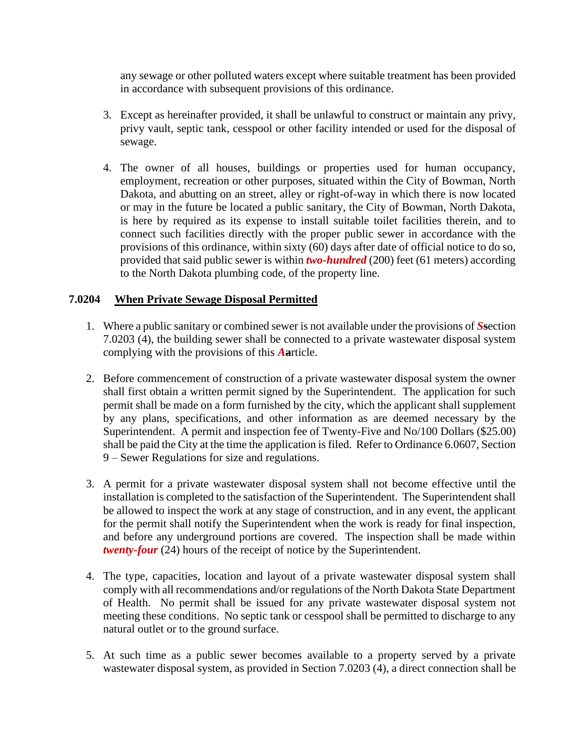any sewage or other polluted waters except where suitable treatment has been provided in accordance with subsequent provisions of this ordinance.

- 3. Except as hereinafter provided, it shall be unlawful to construct or maintain any privy, privy vault, septic tank, cesspool or other facility intended or used for the disposal of sewage.
- 4. The owner of all houses, buildings or properties used for human occupancy, employment, recreation or other purposes, situated within the City of Bowman, North Dakota, and abutting on an street, alley or right-of-way in which there is now located or may in the future be located a public sanitary, the City of Bowman, North Dakota, is here by required as its expense to install suitable toilet facilities therein, and to connect such facilities directly with the proper public sewer in accordance with the provisions of this ordinance, within sixty (60) days after date of official notice to do so, provided that said public sewer is within *two-hundred* (200) feet (61 meters) according to the North Dakota plumbing code, of the property line.

#### **7.0204 When Private Sewage Disposal Permitted**

- 1. Where a public sanitary or combined sewer is not available under the provisions of *S***s**ection 7.0203 (4), the building sewer shall be connected to a private wastewater disposal system complying with the provisions of this *A***a**rticle.
- 2. Before commencement of construction of a private wastewater disposal system the owner shall first obtain a written permit signed by the Superintendent. The application for such permit shall be made on a form furnished by the city, which the applicant shall supplement by any plans, specifications, and other information as are deemed necessary by the Superintendent. A permit and inspection fee of Twenty-Five and No/100 Dollars (\$25.00) shall be paid the City at the time the application is filed. Refer to Ordinance 6.0607, Section 9 – Sewer Regulations for size and regulations.
- 3. A permit for a private wastewater disposal system shall not become effective until the installation is completed to the satisfaction of the Superintendent. The Superintendent shall be allowed to inspect the work at any stage of construction, and in any event, the applicant for the permit shall notify the Superintendent when the work is ready for final inspection, and before any underground portions are covered. The inspection shall be made within *twenty-four* (24) hours of the receipt of notice by the Superintendent.
- 4. The type, capacities, location and layout of a private wastewater disposal system shall comply with all recommendations and/or regulations of the North Dakota State Department of Health. No permit shall be issued for any private wastewater disposal system not meeting these conditions. No septic tank or cesspool shall be permitted to discharge to any natural outlet or to the ground surface.
- 5. At such time as a public sewer becomes available to a property served by a private wastewater disposal system, as provided in Section 7.0203 (4), a direct connection shall be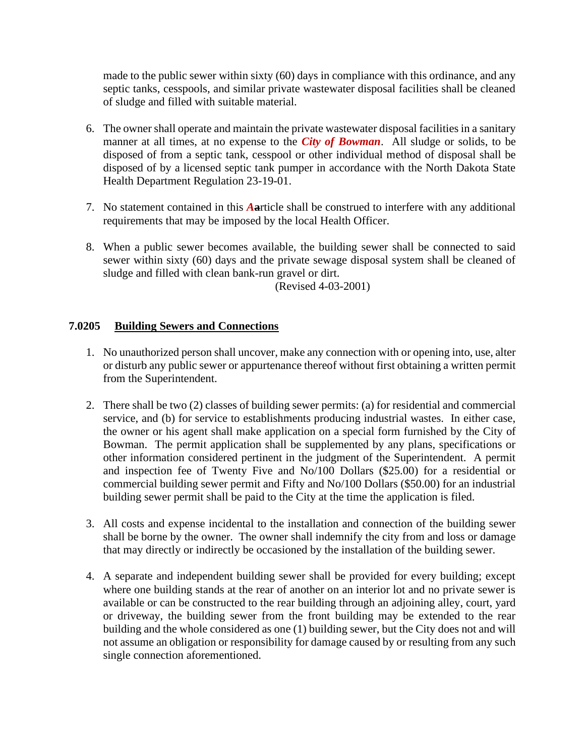made to the public sewer within sixty (60) days in compliance with this ordinance, and any septic tanks, cesspools, and similar private wastewater disposal facilities shall be cleaned of sludge and filled with suitable material.

- 6. The owner shall operate and maintain the private wastewater disposal facilities in a sanitary manner at all times, at no expense to the *City of Bowman*. All sludge or solids, to be disposed of from a septic tank, cesspool or other individual method of disposal shall be disposed of by a licensed septic tank pumper in accordance with the North Dakota State Health Department Regulation 23-19-01.
- 7. No statement contained in this *A***a**rticle shall be construed to interfere with any additional requirements that may be imposed by the local Health Officer.
- 8. When a public sewer becomes available, the building sewer shall be connected to said sewer within sixty (60) days and the private sewage disposal system shall be cleaned of sludge and filled with clean bank-run gravel or dirt.

(Revised 4-03-2001)

### **7.0205 Building Sewers and Connections**

- 1. No unauthorized person shall uncover, make any connection with or opening into, use, alter or disturb any public sewer or appurtenance thereof without first obtaining a written permit from the Superintendent.
- 2. There shall be two (2) classes of building sewer permits: (a) for residential and commercial service, and (b) for service to establishments producing industrial wastes. In either case, the owner or his agent shall make application on a special form furnished by the City of Bowman. The permit application shall be supplemented by any plans, specifications or other information considered pertinent in the judgment of the Superintendent. A permit and inspection fee of Twenty Five and No/100 Dollars (\$25.00) for a residential or commercial building sewer permit and Fifty and No/100 Dollars (\$50.00) for an industrial building sewer permit shall be paid to the City at the time the application is filed.
- 3. All costs and expense incidental to the installation and connection of the building sewer shall be borne by the owner. The owner shall indemnify the city from and loss or damage that may directly or indirectly be occasioned by the installation of the building sewer.
- 4. A separate and independent building sewer shall be provided for every building; except where one building stands at the rear of another on an interior lot and no private sewer is available or can be constructed to the rear building through an adjoining alley, court, yard or driveway, the building sewer from the front building may be extended to the rear building and the whole considered as one (1) building sewer, but the City does not and will not assume an obligation or responsibility for damage caused by or resulting from any such single connection aforementioned.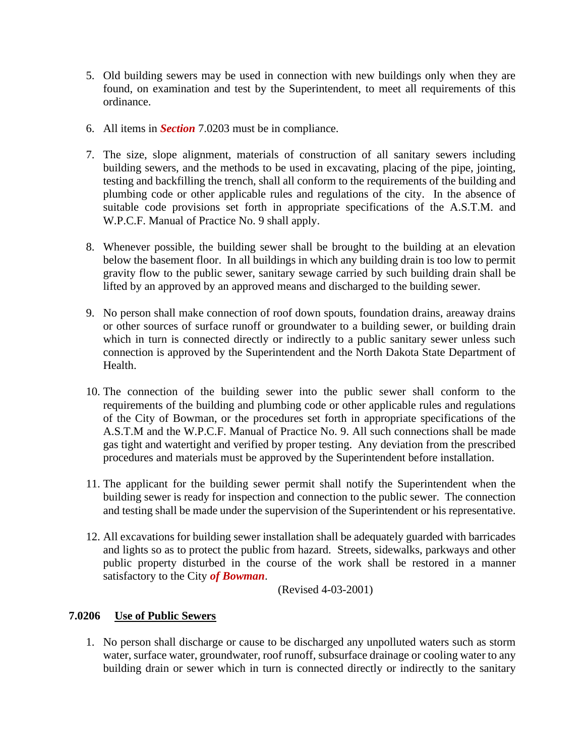- 5. Old building sewers may be used in connection with new buildings only when they are found, on examination and test by the Superintendent, to meet all requirements of this ordinance.
- 6. All items in *Section* 7.0203 must be in compliance.
- 7. The size, slope alignment, materials of construction of all sanitary sewers including building sewers, and the methods to be used in excavating, placing of the pipe, jointing, testing and backfilling the trench, shall all conform to the requirements of the building and plumbing code or other applicable rules and regulations of the city. In the absence of suitable code provisions set forth in appropriate specifications of the A.S.T.M. and W.P.C.F. Manual of Practice No. 9 shall apply.
- 8. Whenever possible, the building sewer shall be brought to the building at an elevation below the basement floor. In all buildings in which any building drain is too low to permit gravity flow to the public sewer, sanitary sewage carried by such building drain shall be lifted by an approved by an approved means and discharged to the building sewer.
- 9. No person shall make connection of roof down spouts, foundation drains, areaway drains or other sources of surface runoff or groundwater to a building sewer, or building drain which in turn is connected directly or indirectly to a public sanitary sewer unless such connection is approved by the Superintendent and the North Dakota State Department of Health.
- 10. The connection of the building sewer into the public sewer shall conform to the requirements of the building and plumbing code or other applicable rules and regulations of the City of Bowman, or the procedures set forth in appropriate specifications of the A.S.T.M and the W.P.C.F. Manual of Practice No. 9. All such connections shall be made gas tight and watertight and verified by proper testing. Any deviation from the prescribed procedures and materials must be approved by the Superintendent before installation.
- 11. The applicant for the building sewer permit shall notify the Superintendent when the building sewer is ready for inspection and connection to the public sewer. The connection and testing shall be made under the supervision of the Superintendent or his representative.
- 12. All excavations for building sewer installation shall be adequately guarded with barricades and lights so as to protect the public from hazard. Streets, sidewalks, parkways and other public property disturbed in the course of the work shall be restored in a manner satisfactory to the City *of Bowman*.

(Revised 4-03-2001)

#### **7.0206 Use of Public Sewers**

1. No person shall discharge or cause to be discharged any unpolluted waters such as storm water, surface water, groundwater, roof runoff, subsurface drainage or cooling water to any building drain or sewer which in turn is connected directly or indirectly to the sanitary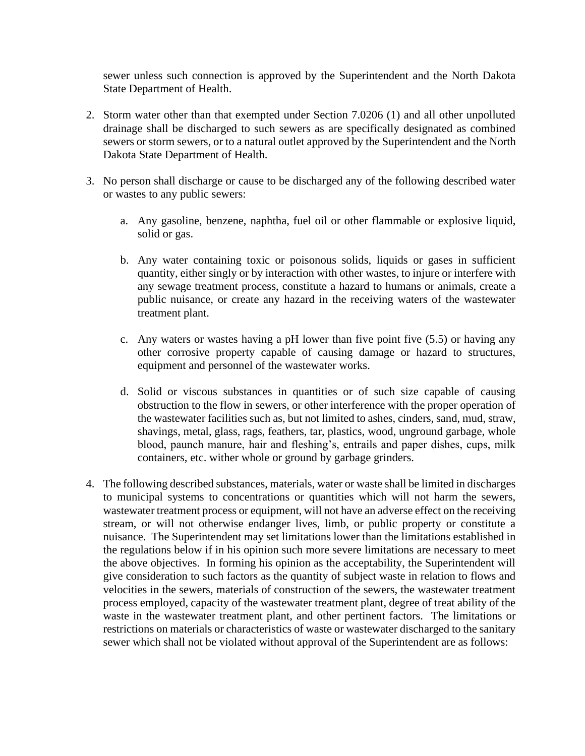sewer unless such connection is approved by the Superintendent and the North Dakota State Department of Health.

- 2. Storm water other than that exempted under Section 7.0206 (1) and all other unpolluted drainage shall be discharged to such sewers as are specifically designated as combined sewers or storm sewers, or to a natural outlet approved by the Superintendent and the North Dakota State Department of Health.
- 3. No person shall discharge or cause to be discharged any of the following described water or wastes to any public sewers:
	- a. Any gasoline, benzene, naphtha, fuel oil or other flammable or explosive liquid, solid or gas.
	- b. Any water containing toxic or poisonous solids, liquids or gases in sufficient quantity, either singly or by interaction with other wastes, to injure or interfere with any sewage treatment process, constitute a hazard to humans or animals, create a public nuisance, or create any hazard in the receiving waters of the wastewater treatment plant.
	- c. Any waters or wastes having a pH lower than five point five (5.5) or having any other corrosive property capable of causing damage or hazard to structures, equipment and personnel of the wastewater works.
	- d. Solid or viscous substances in quantities or of such size capable of causing obstruction to the flow in sewers, or other interference with the proper operation of the wastewater facilities such as, but not limited to ashes, cinders, sand, mud, straw, shavings, metal, glass, rags, feathers, tar, plastics, wood, unground garbage, whole blood, paunch manure, hair and fleshing's, entrails and paper dishes, cups, milk containers, etc. wither whole or ground by garbage grinders.
- 4. The following described substances, materials, water or waste shall be limited in discharges to municipal systems to concentrations or quantities which will not harm the sewers, wastewater treatment process or equipment, will not have an adverse effect on the receiving stream, or will not otherwise endanger lives, limb, or public property or constitute a nuisance. The Superintendent may set limitations lower than the limitations established in the regulations below if in his opinion such more severe limitations are necessary to meet the above objectives. In forming his opinion as the acceptability, the Superintendent will give consideration to such factors as the quantity of subject waste in relation to flows and velocities in the sewers, materials of construction of the sewers, the wastewater treatment process employed, capacity of the wastewater treatment plant, degree of treat ability of the waste in the wastewater treatment plant, and other pertinent factors. The limitations or restrictions on materials or characteristics of waste or wastewater discharged to the sanitary sewer which shall not be violated without approval of the Superintendent are as follows: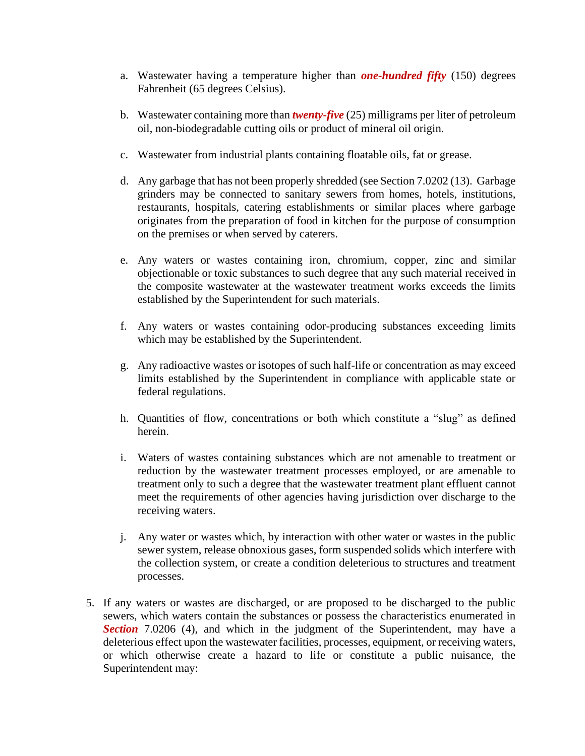- a. Wastewater having a temperature higher than *one-hundred fifty* (150) degrees Fahrenheit (65 degrees Celsius).
- b. Wastewater containing more than *twenty-five* (25) milligrams per liter of petroleum oil, non-biodegradable cutting oils or product of mineral oil origin.
- c. Wastewater from industrial plants containing floatable oils, fat or grease.
- d. Any garbage that has not been properly shredded (see Section 7.0202 (13). Garbage grinders may be connected to sanitary sewers from homes, hotels, institutions, restaurants, hospitals, catering establishments or similar places where garbage originates from the preparation of food in kitchen for the purpose of consumption on the premises or when served by caterers.
- e. Any waters or wastes containing iron, chromium, copper, zinc and similar objectionable or toxic substances to such degree that any such material received in the composite wastewater at the wastewater treatment works exceeds the limits established by the Superintendent for such materials.
- f. Any waters or wastes containing odor-producing substances exceeding limits which may be established by the Superintendent.
- g. Any radioactive wastes or isotopes of such half-life or concentration as may exceed limits established by the Superintendent in compliance with applicable state or federal regulations.
- h. Quantities of flow, concentrations or both which constitute a "slug" as defined herein.
- i. Waters of wastes containing substances which are not amenable to treatment or reduction by the wastewater treatment processes employed, or are amenable to treatment only to such a degree that the wastewater treatment plant effluent cannot meet the requirements of other agencies having jurisdiction over discharge to the receiving waters.
- j. Any water or wastes which, by interaction with other water or wastes in the public sewer system, release obnoxious gases, form suspended solids which interfere with the collection system, or create a condition deleterious to structures and treatment processes.
- 5. If any waters or wastes are discharged, or are proposed to be discharged to the public sewers, which waters contain the substances or possess the characteristics enumerated in **Section** 7.0206 (4), and which in the judgment of the Superintendent, may have a deleterious effect upon the wastewater facilities, processes, equipment, or receiving waters, or which otherwise create a hazard to life or constitute a public nuisance, the Superintendent may: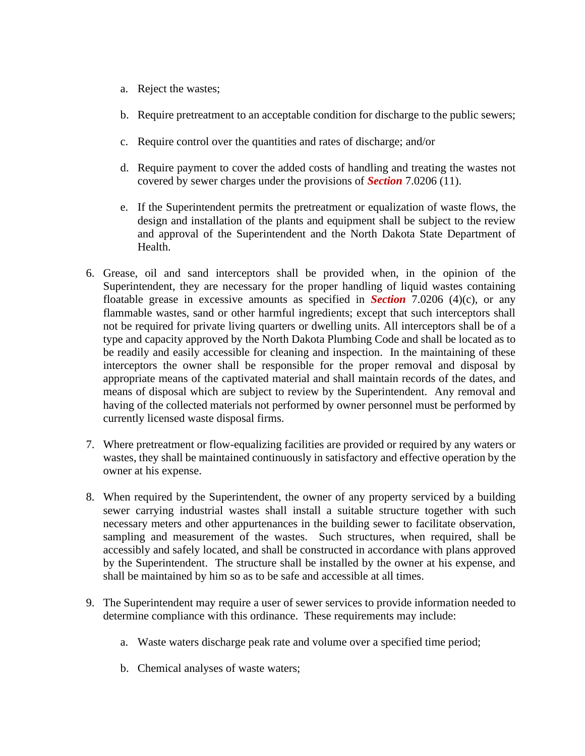- a. Reject the wastes;
- b. Require pretreatment to an acceptable condition for discharge to the public sewers;
- c. Require control over the quantities and rates of discharge; and/or
- d. Require payment to cover the added costs of handling and treating the wastes not covered by sewer charges under the provisions of *Section* 7.0206 (11).
- e. If the Superintendent permits the pretreatment or equalization of waste flows, the design and installation of the plants and equipment shall be subject to the review and approval of the Superintendent and the North Dakota State Department of Health.
- 6. Grease, oil and sand interceptors shall be provided when, in the opinion of the Superintendent, they are necessary for the proper handling of liquid wastes containing floatable grease in excessive amounts as specified in *Section* 7.0206 (4)(c), or any flammable wastes, sand or other harmful ingredients; except that such interceptors shall not be required for private living quarters or dwelling units. All interceptors shall be of a type and capacity approved by the North Dakota Plumbing Code and shall be located as to be readily and easily accessible for cleaning and inspection. In the maintaining of these interceptors the owner shall be responsible for the proper removal and disposal by appropriate means of the captivated material and shall maintain records of the dates, and means of disposal which are subject to review by the Superintendent. Any removal and having of the collected materials not performed by owner personnel must be performed by currently licensed waste disposal firms.
- 7. Where pretreatment or flow-equalizing facilities are provided or required by any waters or wastes, they shall be maintained continuously in satisfactory and effective operation by the owner at his expense.
- 8. When required by the Superintendent, the owner of any property serviced by a building sewer carrying industrial wastes shall install a suitable structure together with such necessary meters and other appurtenances in the building sewer to facilitate observation, sampling and measurement of the wastes. Such structures, when required, shall be accessibly and safely located, and shall be constructed in accordance with plans approved by the Superintendent. The structure shall be installed by the owner at his expense, and shall be maintained by him so as to be safe and accessible at all times.
- 9. The Superintendent may require a user of sewer services to provide information needed to determine compliance with this ordinance. These requirements may include:
	- a. Waste waters discharge peak rate and volume over a specified time period;
	- b. Chemical analyses of waste waters;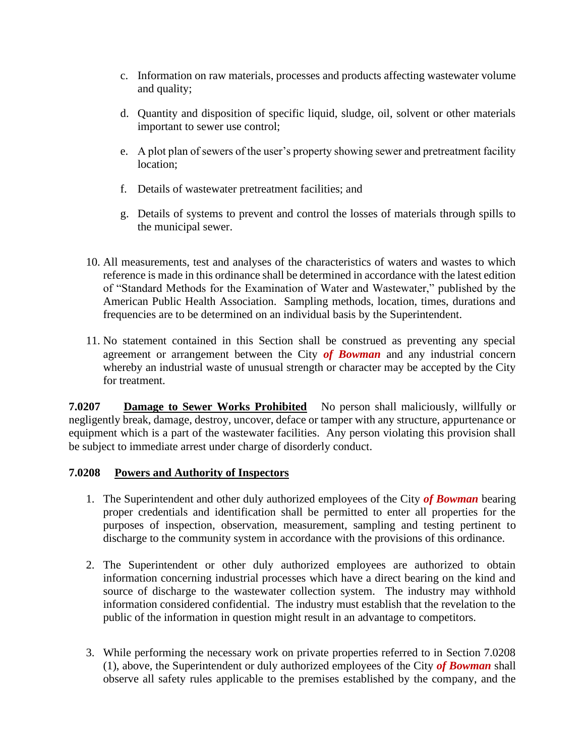- c. Information on raw materials, processes and products affecting wastewater volume and quality;
- d. Quantity and disposition of specific liquid, sludge, oil, solvent or other materials important to sewer use control;
- e. A plot plan of sewers of the user's property showing sewer and pretreatment facility location;
- f. Details of wastewater pretreatment facilities; and
- g. Details of systems to prevent and control the losses of materials through spills to the municipal sewer.
- 10. All measurements, test and analyses of the characteristics of waters and wastes to which reference is made in this ordinance shall be determined in accordance with the latest edition of "Standard Methods for the Examination of Water and Wastewater," published by the American Public Health Association. Sampling methods, location, times, durations and frequencies are to be determined on an individual basis by the Superintendent.
- 11. No statement contained in this Section shall be construed as preventing any special agreement or arrangement between the City *of Bowman* and any industrial concern whereby an industrial waste of unusual strength or character may be accepted by the City for treatment.

**7.0207 Damage to Sewer Works Prohibited** No person shall maliciously, willfully or negligently break, damage, destroy, uncover, deface or tamper with any structure, appurtenance or equipment which is a part of the wastewater facilities. Any person violating this provision shall be subject to immediate arrest under charge of disorderly conduct.

#### **7.0208 Powers and Authority of Inspectors**

- 1. The Superintendent and other duly authorized employees of the City *of Bowman* bearing proper credentials and identification shall be permitted to enter all properties for the purposes of inspection, observation, measurement, sampling and testing pertinent to discharge to the community system in accordance with the provisions of this ordinance.
- 2. The Superintendent or other duly authorized employees are authorized to obtain information concerning industrial processes which have a direct bearing on the kind and source of discharge to the wastewater collection system. The industry may withhold information considered confidential. The industry must establish that the revelation to the public of the information in question might result in an advantage to competitors.
- 3. While performing the necessary work on private properties referred to in Section 7.0208 (1), above, the Superintendent or duly authorized employees of the City *of Bowman* shall observe all safety rules applicable to the premises established by the company, and the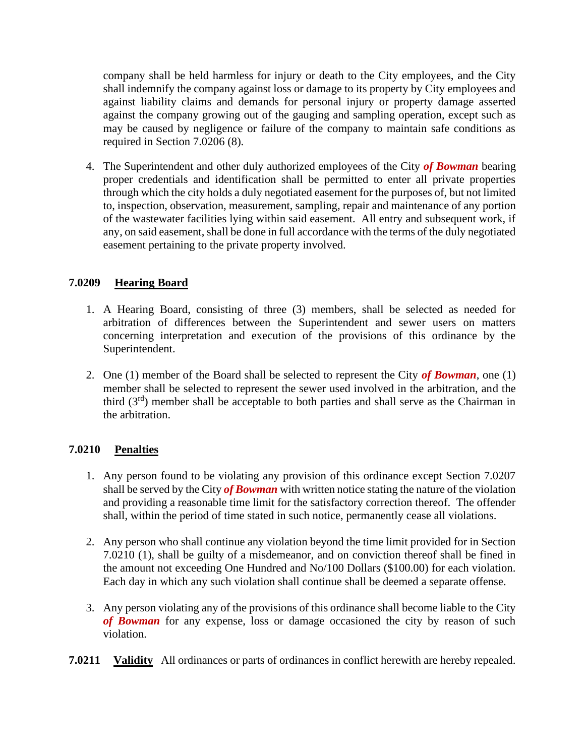company shall be held harmless for injury or death to the City employees, and the City shall indemnify the company against loss or damage to its property by City employees and against liability claims and demands for personal injury or property damage asserted against the company growing out of the gauging and sampling operation, except such as may be caused by negligence or failure of the company to maintain safe conditions as required in Section 7.0206 (8).

4. The Superintendent and other duly authorized employees of the City *of Bowman* bearing proper credentials and identification shall be permitted to enter all private properties through which the city holds a duly negotiated easement for the purposes of, but not limited to, inspection, observation, measurement, sampling, repair and maintenance of any portion of the wastewater facilities lying within said easement. All entry and subsequent work, if any, on said easement, shall be done in full accordance with the terms of the duly negotiated easement pertaining to the private property involved.

## **7.0209 Hearing Board**

- 1. A Hearing Board, consisting of three (3) members, shall be selected as needed for arbitration of differences between the Superintendent and sewer users on matters concerning interpretation and execution of the provisions of this ordinance by the Superintendent.
- 2. One (1) member of the Board shall be selected to represent the City *of Bowman*, one (1) member shall be selected to represent the sewer used involved in the arbitration, and the third  $(3<sup>rd</sup>)$  member shall be acceptable to both parties and shall serve as the Chairman in the arbitration.

### **7.0210 Penalties**

- 1. Any person found to be violating any provision of this ordinance except Section 7.0207 shall be served by the City *of Bowman* with written notice stating the nature of the violation and providing a reasonable time limit for the satisfactory correction thereof. The offender shall, within the period of time stated in such notice, permanently cease all violations.
- 2. Any person who shall continue any violation beyond the time limit provided for in Section 7.0210 (1), shall be guilty of a misdemeanor, and on conviction thereof shall be fined in the amount not exceeding One Hundred and No/100 Dollars (\$100.00) for each violation. Each day in which any such violation shall continue shall be deemed a separate offense.
- 3. Any person violating any of the provisions of this ordinance shall become liable to the City *of Bowman* for any expense, loss or damage occasioned the city by reason of such violation.
- **7.0211 Validity** All ordinances or parts of ordinances in conflict herewith are hereby repealed.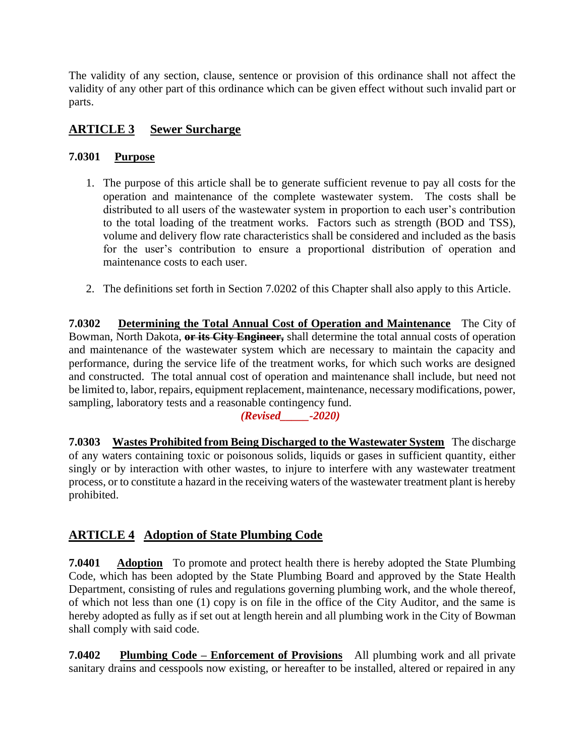The validity of any section, clause, sentence or provision of this ordinance shall not affect the validity of any other part of this ordinance which can be given effect without such invalid part or parts.

## **ARTICLE 3 Sewer Surcharge**

## **7.0301 Purpose**

- 1. The purpose of this article shall be to generate sufficient revenue to pay all costs for the operation and maintenance of the complete wastewater system. The costs shall be distributed to all users of the wastewater system in proportion to each user's contribution to the total loading of the treatment works. Factors such as strength (BOD and TSS), volume and delivery flow rate characteristics shall be considered and included as the basis for the user's contribution to ensure a proportional distribution of operation and maintenance costs to each user.
- 2. The definitions set forth in Section 7.0202 of this Chapter shall also apply to this Article.

**7.0302 Determining the Total Annual Cost of Operation and Maintenance** The City of Bowman, North Dakota, **or its City Engineer,** shall determine the total annual costs of operation and maintenance of the wastewater system which are necessary to maintain the capacity and performance, during the service life of the treatment works, for which such works are designed and constructed. The total annual cost of operation and maintenance shall include, but need not be limited to, labor, repairs, equipment replacement, maintenance, necessary modifications, power, sampling, laboratory tests and a reasonable contingency fund.

### *(Revised\_\_\_\_\_-2020)*

**7.0303 Wastes Prohibited from Being Discharged to the Wastewater System** The discharge of any waters containing toxic or poisonous solids, liquids or gases in sufficient quantity, either singly or by interaction with other wastes, to injure to interfere with any wastewater treatment process, or to constitute a hazard in the receiving waters of the wastewater treatment plant is hereby prohibited.

## **ARTICLE 4 Adoption of State Plumbing Code**

**7.0401 Adoption** To promote and protect health there is hereby adopted the State Plumbing Code, which has been adopted by the State Plumbing Board and approved by the State Health Department, consisting of rules and regulations governing plumbing work, and the whole thereof, of which not less than one (1) copy is on file in the office of the City Auditor, and the same is hereby adopted as fully as if set out at length herein and all plumbing work in the City of Bowman shall comply with said code.

**7.0402 Plumbing Code – Enforcement of Provisions** All plumbing work and all private sanitary drains and cesspools now existing, or hereafter to be installed, altered or repaired in any